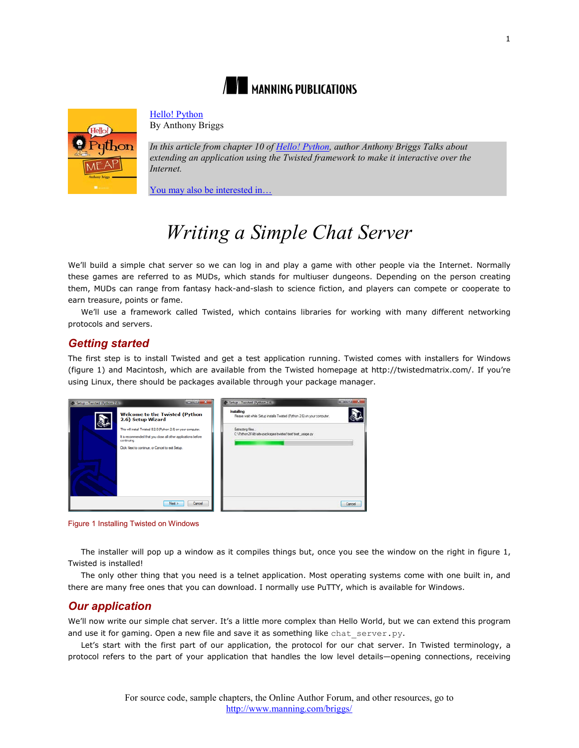



[Hello! Python](http://www.manning.com/briggs/)

By Anthony Briggs

*In this article from chapter 10 of [Hello! Python,](http://www.manning.com/briggs/) author Anthony Briggs Talks about extending an application using the Twisted framework to make it interactive over the Internet.*

[You may also be interested in…](#page-4-0)

# *Writing a Simple Chat Server*

We'll build a simple chat server so we can log in and play a game with other people via the Internet. Normally these games are referred to as MUDs, which stands for multiuser dungeons. Depending on the person creating them, MUDs can range from fantasy hack-and-slash to science fiction, and players can compete or cooperate to earn treasure, points or fame.

We'll use a framework called Twisted, which contains libraries for working with many different networking protocols and servers.

## *Getting started*

The first step is to install Twisted and get a test application running. Twisted comes with installers for Windows (figure 1) and Macintosh, which are available from the Twisted homepage at http://twistedmatrix.com/. If you're using Linux, there should be packages available through your package manager.

| Setup - Twisted (Python 2.6) | $-10 - 10$                                                                    | Setup - Twisted (Python 2.6)                                                                 | $\frac{1}{2} \left( \frac{1}{2} \right) \left( \frac{1}{2} \right) \left( \frac{1}{2} \right) \left( \frac{1}{2} \right) \left( \frac{1}{2} \right) \left( \frac{1}{2} \right) \left( \frac{1}{2} \right) \left( \frac{1}{2} \right) \left( \frac{1}{2} \right) \left( \frac{1}{2} \right) \left( \frac{1}{2} \right) \left( \frac{1}{2} \right) \left( \frac{1}{2} \right) \left( \frac{1}{2} \right) \left( \frac{1}{2} \right) \left( \frac{1}{2} \right) \left( \frac$ |
|------------------------------|-------------------------------------------------------------------------------|----------------------------------------------------------------------------------------------|----------------------------------------------------------------------------------------------------------------------------------------------------------------------------------------------------------------------------------------------------------------------------------------------------------------------------------------------------------------------------------------------------------------------------------------------------------------------------|
|                              | <b>Welcome to the Twisted (Python</b><br>2.6) Setup Wizard                    | <b>Installing</b><br>Please wait while Setup installs Twisted (Python 2.6) on your computer. |                                                                                                                                                                                                                                                                                                                                                                                                                                                                            |
|                              | This will install Twisted 8.2.0 (Python 2.6) on your computer.                | Extracting files<br>C:\Python26\ib\ate-packages\twisted\test\test_usage.py                   |                                                                                                                                                                                                                                                                                                                                                                                                                                                                            |
|                              | It is recommended that you close all other applications before<br>continuing. |                                                                                              |                                                                                                                                                                                                                                                                                                                                                                                                                                                                            |
|                              | Click Next to continue, or Cancel to ext Setup.                               |                                                                                              |                                                                                                                                                                                                                                                                                                                                                                                                                                                                            |
|                              | Next ><br>Cancel                                                              |                                                                                              | Cancel                                                                                                                                                                                                                                                                                                                                                                                                                                                                     |

Figure 1 Installing Twisted on Windows

The installer will pop up a window as it compiles things but, once you see the window on the right in figure 1, Twisted is installed!

The only other thing that you need is a telnet application. Most operating systems come with one built in, and there are many free ones that you can download. I normally use PuTTY, which is available for Windows.

## *Our application*

We'll now write our simple chat server. It's a little more complex than Hello World, but we can extend this program and use it for gaming. Open a new file and save it as something like chat  $s$ erver.py.

Let's start with the first part of our application, the protocol for our chat server. In Twisted terminology, a protocol refers to the part of your application that handles the low level details—opening connections, receiving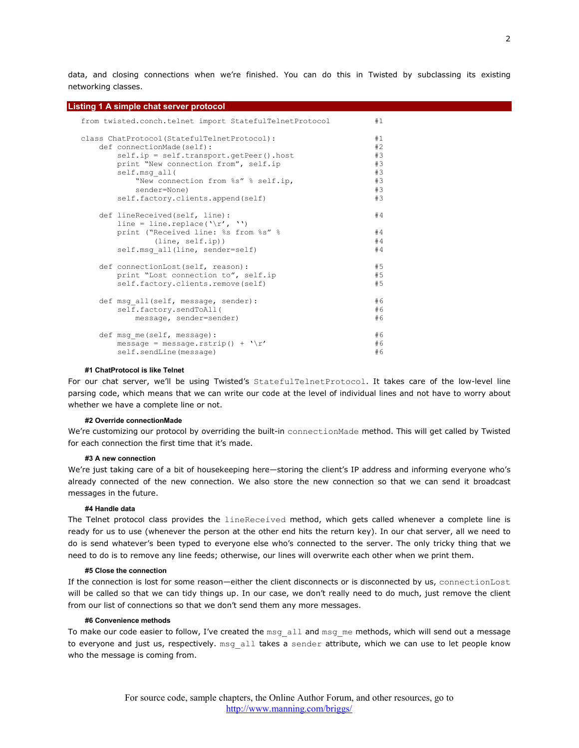data, and closing connections when we're finished. You can do this in Twisted by subclassing its existing networking classes.

| Listing 1 A simple chat server protocol                                |    |
|------------------------------------------------------------------------|----|
| from twisted.conch.telnet import StatefulTelnetProtocol                | #1 |
| class ChatProtocol (StatefulTelnetProtocol):                           | #1 |
| def connectionMade(self):                                              | #2 |
| self.ip = self.transport.getPeer().host                                | #3 |
| print "New connection from", self.ip                                   | #3 |
| self.msg all(                                                          | #3 |
| "New connection from %s" % self.ip,                                    | #3 |
| sender=None)                                                           | #3 |
| self.factory.clients.append(self)                                      | #3 |
| def lineReceived(self, line):                                          | #4 |
| line = line.replace( $\langle \cdot   r', \cdot \cdot \cdot \rangle$ ) |    |
| print ("Received line: %s from %s" %                                   | #4 |
| (line, self.ip))                                                       | #4 |
| self.msg all(line, sender=self)                                        | #4 |
| def connectionLost (self, reason) :                                    | #5 |
| print "Lost connection to", self.ip                                    | #5 |
| self.factory.clients.remove(self)                                      | #5 |
|                                                                        |    |
| def msg all(self, message, sender):                                    | #6 |
| self.factory.sendToAll(                                                | #6 |
| message, sender=sender)                                                | #6 |
| def msg me(self, message):                                             | #6 |
| message = message.rstrip() + $'\r'$                                    | #6 |
| self.sendLine(message)                                                 | #6 |
|                                                                        |    |

#### **#1 ChatProtocol is like Telnet**

For our chat server, we'll be using Twisted's StatefulTelnetProtocol. It takes care of the low-level line parsing code, which means that we can write our code at the level of individual lines and not have to worry about whether we have a complete line or not.

#### **#2 Override connectionMade**

We're customizing our protocol by overriding the built-in connectionMade method. This will get called by Twisted for each connection the first time that it's made.

#### **#3 A new connection**

We're just taking care of a bit of housekeeping here—storing the client's IP address and informing everyone who's already connected of the new connection. We also store the new connection so that we can send it broadcast messages in the future.

#### **#4 Handle data**

The Telnet protocol class provides the lineReceived method, which gets called whenever a complete line is ready for us to use (whenever the person at the other end hits the return key). In our chat server, all we need to do is send whatever's been typed to everyone else who's connected to the server. The only tricky thing that we need to do is to remove any line feeds; otherwise, our lines will overwrite each other when we print them.

#### **#5 Close the connection**

If the connection is lost for some reason—either the client disconnects or is disconnected by us, connectionLost will be called so that we can tidy things up. In our case, we don't really need to do much, just remove the client from our list of connections so that we don't send them any more messages.

#### **#6 Convenience methods**

To make our code easier to follow, I've created the msg\_all and msg\_me methods, which will send out a message to everyone and just us, respectively. msg\_all takes a sender attribute, which we can use to let people know who the message is coming from.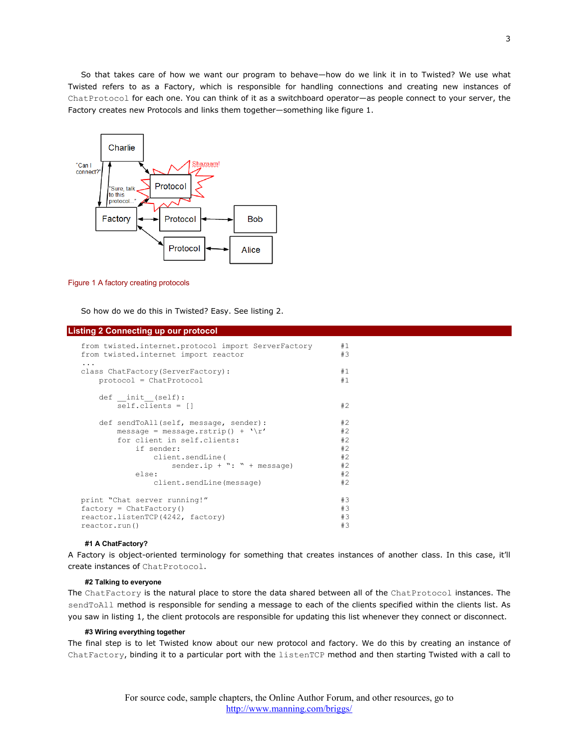So that takes care of how we want our program to behave—how do we link it in to Twisted? We use what Twisted refers to as a Factory, which is responsible for handling connections and creating new instances of ChatProtocol for each one. You can think of it as a switchboard operator—as people connect to your server, the Factory creates new Protocols and links them together—something like figure 1.



Figure 1 A factory creating protocols

So how do we do this in Twisted? Easy. See listing 2.

#### **Listing 2 Connecting up our protocol**

| from twisted.internet.protocol import ServerFactory<br>from twisted.internet import reactor | #1<br>#3                          |  |
|---------------------------------------------------------------------------------------------|-----------------------------------|--|
| .<br>class ChatFactory (ServerFactory) :                                                    | #1                                |  |
| $protocol = ChatProtocol$                                                                   | #1                                |  |
| def init (self):                                                                            |                                   |  |
| $self.class = []$                                                                           | #2                                |  |
| def sendToAll(self, message, sender):                                                       | #2                                |  |
| message = message.rstrip() + $'\r'$                                                         | #2                                |  |
| for client in self.clients:                                                                 | #2                                |  |
| if sender:                                                                                  | #2                                |  |
| client.sendLine(                                                                            | #2                                |  |
|                                                                                             | #2<br>sender.ip + ": " + message) |  |
| else:                                                                                       | #2                                |  |
| client.sendLine(message)                                                                    | #2                                |  |
| print "Chat server running!"                                                                | #3                                |  |
| $factory = ChatFactory()$                                                                   |                                   |  |
| reactor.listenTCP(4242, factory)                                                            |                                   |  |
| reactor.run()                                                                               |                                   |  |

#### **#1 A ChatFactory?**

A Factory is object-oriented terminology for something that creates instances of another class. In this case, it'll create instances of ChatProtocol.

#### **#2 Talking to everyone**

The ChatFactory is the natural place to store the data shared between all of the ChatProtocol instances. The sendToAll method is responsible for sending a message to each of the clients specified within the clients list. As you saw in listing 1, the client protocols are responsible for updating this list whenever they connect or disconnect.

#### **#3 Wiring everything together**

The final step is to let Twisted know about our new protocol and factory. We do this by creating an instance of ChatFactory, binding it to a particular port with the listenTCP method and then starting Twisted with a call to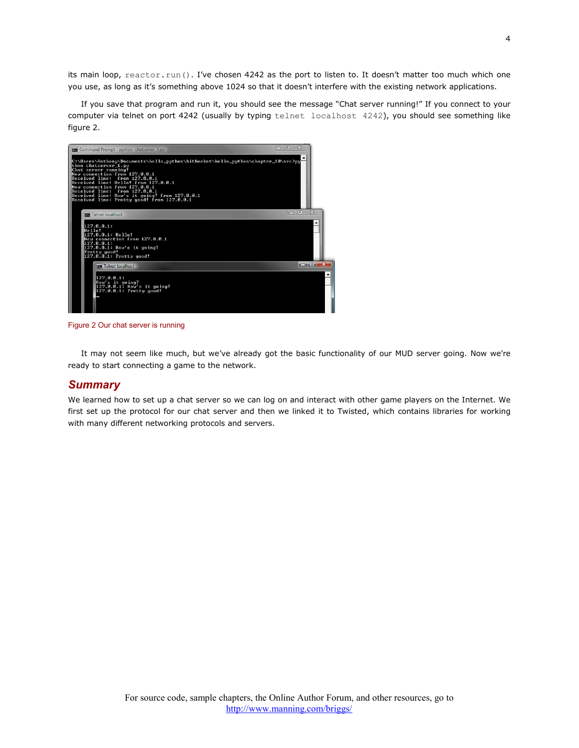its main loop, reactor.run(). I've chosen 4242 as the port to listen to. It doesn't matter too much which one you use, as long as it's something above 1024 so that it doesn't interfere with the existing network applications.

If you save that program and run it, you should see the message "Chat server running!" If you connect to your computer via telnet on port 4242 (usually by typing telnet localhost 4242), you should see something like figure 2.



Figure 2 Our chat server is running

It may not seem like much, but we've already got the basic functionality of our MUD server going. Now we're ready to start connecting a game to the network.

### *Summary*

We learned how to set up a chat server so we can log on and interact with other game players on the Internet. We first set up the protocol for our chat server and then we linked it to Twisted, which contains libraries for working with many different networking protocols and servers.